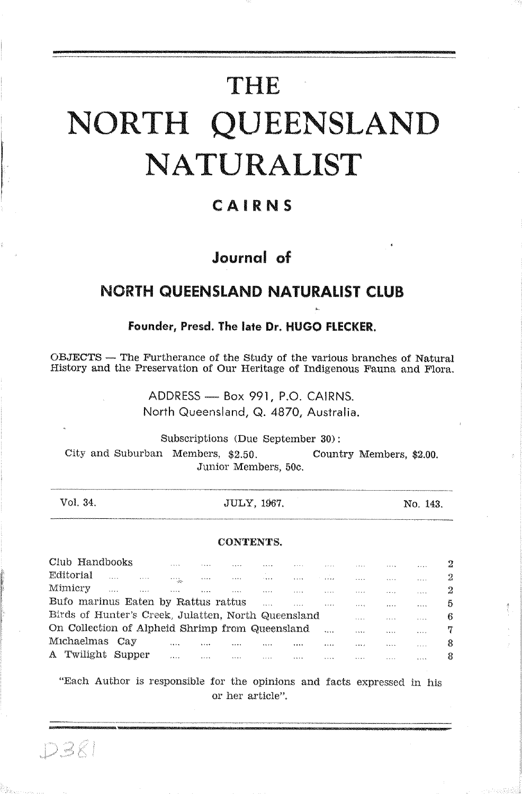# THE NORTH QUEENSLAND NATURALIST

# CAIRNS

# Journal of

# **NORTH QUEENSLAND NATURALIST CLUB**

#### Founder, Presd. The late Dr. HUGO FLECKER.

OBJECTS — The Furtherance of the Study of the various branches of Natural History and the Preservation of Our Heritage of Indigenous Fauna and Flora.

> ADDRESS - Box 991, P.O. CAIRNS. North Queensland, Q. 4870, Australia.

Subscriptions (Due September 30): City and Suburban Members, \$2.50. Country Members, \$2.00. Junior Members, 50c.

| Vol. 34. | JULY, 1967. | No. 143. |
|----------|-------------|----------|
|          |             |          |

#### CONTENTS.

| Club Handbooks                                      |                   | $-1 - 1$              |         | 1.1.1   | 1.1.1          | 1.1.1  | 1.7.1.1  | $- 1 - 1$ |            | 2.2.5.5 |   |
|-----------------------------------------------------|-------------------|-----------------------|---------|---------|----------------|--------|----------|-----------|------------|---------|---|
| Editorial                                           |                   | <b>A 5 4 6</b><br>do. | 1.1.1   | 1.3.7.4 | 1.111          | 1.1.11 | $\cdots$ | $\cdots$  | $8.3 + 1.$ |         | 2 |
| Mimicry                                             | $\cdots$<br>1.1.1 | $\cdots$              | 1.1.7.1 | .       | <b>A 3 6 6</b> | .      | 1.1.1    | 1.7.4.4   | 1.1.7.7    |         | 2 |
| Bufo marinus Eaten by Rattus rattus                 |                   |                       |         |         |                | 1.1.1  |          | 1.1.1     | ****       |         | 5 |
| Birds of Hunter's Creek, Julatten, North Queensland |                   |                       |         |         |                |        |          | 1.1.1     | .          | 1.1.1.1 | в |
| On Collection of Alpheid Shrimp from Queensland     |                   |                       |         |         |                |        | 5.1.1    | 1.1.1     | $- - -$    | 1.1.1.1 |   |
| Michaelmas                                          | Cav               | $1 + 1$               |         |         |                |        |          | ****      | 2.11       | 1.1.1   |   |
| Twilight<br>$\mathbf{A}$                            | Supper            |                       | 1.1.1   | .       | 1.11           |        | 1.7.7.7  | 1.1.1     |            | .       | я |
|                                                     |                   |                       |         |         |                |        |          |           |            |         |   |

"Each Author is responsible for the opinions and facts expressed in his or her article".

 $DZZ$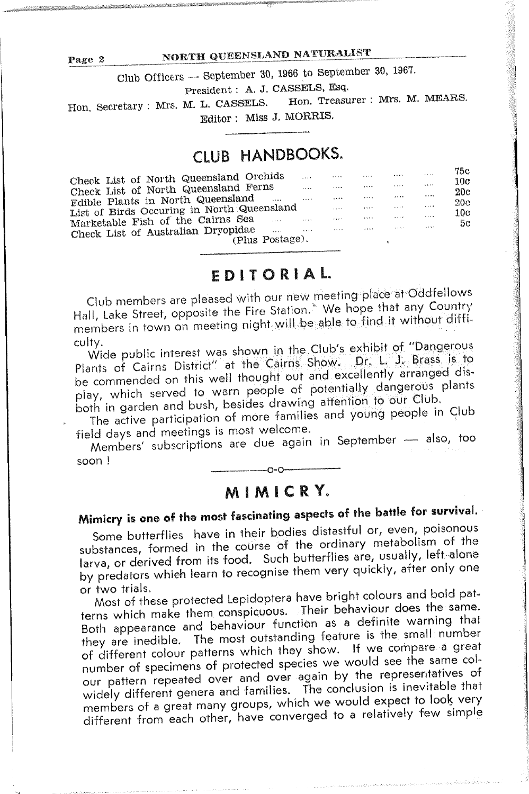### NORTH QUEENSLAND NATURALIST

Club Officers -- September 30, 1966 to September 30, 1967.

President : A. J. CASSELS, Esq.

Hon. Treasurer : Mrs. M. MEARS. Hon, Secretary : Mrs. M. L. CASSELS. Editor: Miss J. MORRIS.

# CLUB HANDBOOKS.

| Check List of North Queensland Orchids      | 1.1.1   | 1.1.1   | 1.1.7.7 |         | 1.1.1.4 | 79 C<br>10c |
|---------------------------------------------|---------|---------|---------|---------|---------|-------------|
| Check List of North Queensland Ferns        |         | 1.1.1.1 |         |         | 1.1.1   | 20c         |
| Edible Plants in North Queensland<br>       | 1.1.1   | 0.5.6.6 |         |         | 1.1.1   | 20c         |
| List of Birds Occuring in North Queensland  |         | 1.1.1   | 1.1.1.7 | 1.11    | 1.111   | 10c         |
| Marketable Fish of the Cairns Sea<br>.      | 1.11    | 1.1.1   | 1.1.1   | 1.11    | 1.1.1.1 | 5c          |
| Check List of Australian Dryopidae<br>1.1.1 | 1.1.1.1 | 1.1.1   | 1.1.1   | 1.1.1.1 | 1.111   |             |
| (Plus Postage).                             |         |         |         |         |         |             |

# EDITORIAL.

Club members are pleased with our new meeting place at Oddfellows Hall, Lake Street, opposite the Fire Station.<sup>5</sup> We hope that any Country members in town on meeting night will be able to find it without difficulty.

Wide public interest was shown in the Club's exhibit of "Dangerous Plants of Cairns District" at the Cairns Show. Dr. L. J. Brass is to be commended on this well thought out and excellently arranged display, which served to warn people of potentially dangerous plants both in garden and bush, besides drawing attention to our Club.

The active participation of more families and young people in Club field days and meetings is most welcome.

Members' subscriptions are due again in September - also, too soon!

# MIMICRY.

# Mimicry is one of the most fascinating aspects of the battle for survival.

Some butterflies have in their bodies distastful or, even, poisonous substances, formed in the course of the ordinary metabolism of the larva, or derived from its food. Such butterflies are, usually, left alone by predators which learn to recognise them very quickly, after only one or two trials.

Most of these protected Lepidoptera have bright colours and bold patterns which make them conspicuous. Their behaviour does the same. Both appearance and behaviour function as a definite warning that they are inedible. The most outstanding feature is the small number of different colour patterns which they show. If we compare a great number of specimens of protected species we would see the same colour pattern repeated over and over again by the representatives of widely different genera and families. The conclusion is inevitable that members of a great many groups, which we would expect to look very different from each other, have converged to a relatively few simple

Page 2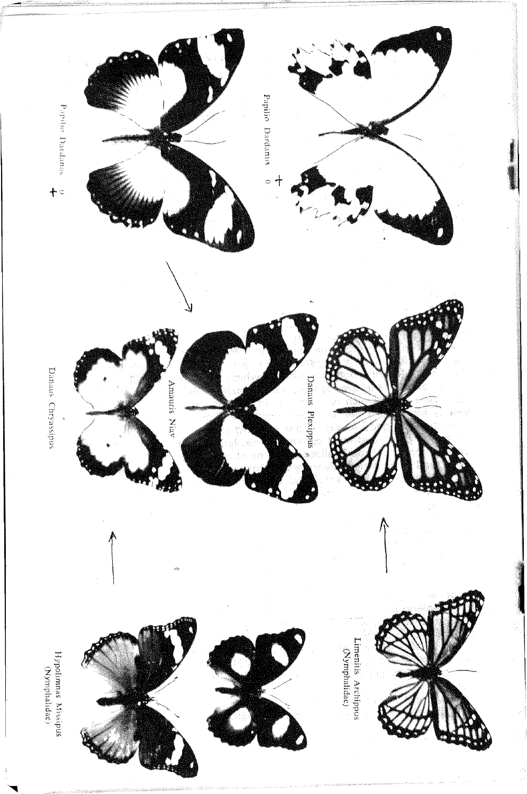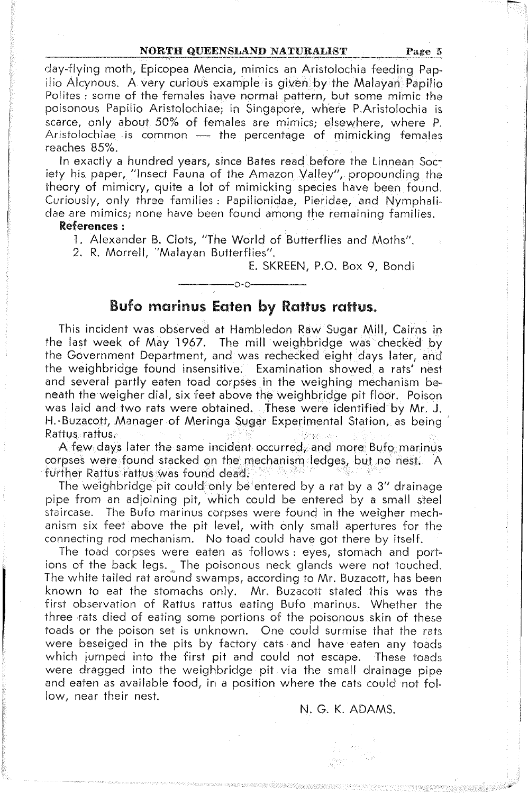#### NORTH QUEENSLAND NATURALIST

Page 5

day-flying moth, Epicopea Mencia, mimics an Aristolochia feeding Papilio Alcynous. A very curious example is given by the Malayan Papilio Polites: some of the females have normal pattern, but some mimic the poisonous Papilio Aristolochiae; in Singapore, where P.Aristolochia is scarce, only about 50% of females are mimics; elsewhere, where P. Aristolochiae is common - the percentage of mimicking females reaches 85%

In exactly a hundred years, since Bates read before the Linnean Society his paper, "Insect Fauna of the Amazon Valley", propounding the theory of mimicry, quite a lot of mimicking species have been found. Curiously, only three families: Papilionidae, Pieridae, and Nymphalidae are mimics; none have been found among the remaining families.

#### References:

1. Alexander B. Clots, "The World of Butterflies and Moths".

2. R. Morrell, "Malayan Butterflies".

E. SKREEN, P.O. Box 9, Bondi

# Bufo marinus Eaten by Rattus rattus.

This incident was observed at Hambledon Raw Sugar Mill, Cairns in the last week of May 1967. The mill weighbridge was checked by the Government Department, and was rechecked eight days later, and the weighbridge found insensitive. Examination showed a rats' nest and several partly eaten toad corpses in the weighing mechanism beneath the weigher dial, six feet above the weighbridge pit floor. Poison was laid and two rats were obtained. These were identified by Mr. J. H. Buzacott, Manager of Meringa Sugar Experimental Station, as being Rattus rattus.

A few days later the same incident occurred, and more Bufo marinus corpses were found stacked on the mechanism ledges, but no nest. A further Rattus rattus was found dead.

The weighbridge pit could only be entered by a rat by a 3" drainage pipe from an adjoining pit, which could be entered by a small steel staircase. The Bufo marinus corpses were found in the weigher mechanism six feet above the pit level, with only small apertures for the connecting rod mechanism. No toad could have got there by itself.

The toad corpses were eaten as follows: eyes, stomach and portions of the back legs. The poisonous neck glands were not touched. The white tailed rat around swamps, according to Mr. Buzacott, has been known to eat the stomachs only. Mr. Buzacott stated this was the first observation of Rattus rattus eating Bufo marinus. Whether the three rats died of eating some portions of the poisonous skin of these toads or the poison set is unknown. One could surmise that the rats were beseiged in the pits by factory cats and have eaten any toads which jumped into the first pit and could not escape. These toads were dragged into the weighbridge pit via the small drainage pipe and eaten as available food, in a position where the cats could not follow, near their nest.

#### N. G. K. ADAMS.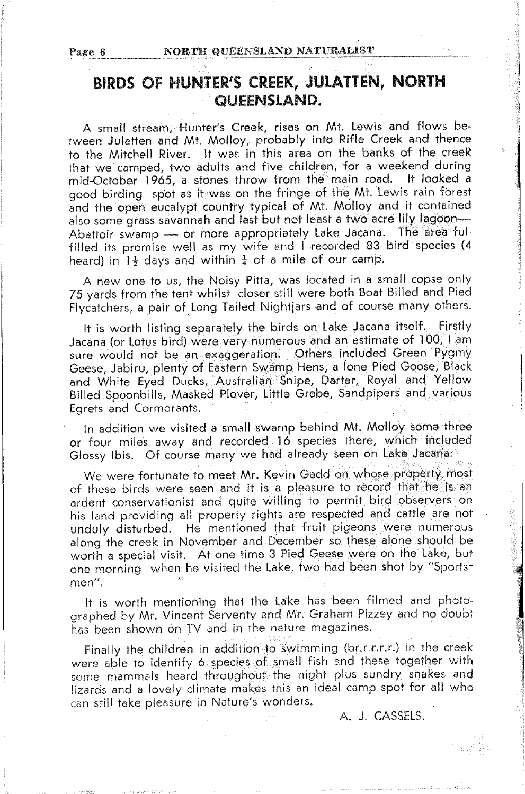# BIRDS OF HUNTER'S CREEK, JULATTEN, NORTH QUEENSLAND.

A small stream, Hunter's Creek, rises on Mt. Lewis and flows between Julatten and Mt. Molloy, probably into Rifle Creek and thence to the Mitchell River. It was in this area on the banks of the creek that we camped, two adults and five children, for a weekend during mid-October 1965, a stones throw from the main road. It looked a good birding spot as it was on the fringe of the Mt. Lewis rain forest and the open eucalypt country typical of Mt. Molloy and it contained also some grass savannah and last but not least a two acre lily lagoon-Abattoir swamp - or more appropriately Lake Jacana. The area fulfilled its promise well as my wife and I recorded 83 bird species (4 heard) in  $1\frac{1}{2}$  days and within  $\frac{1}{4}$  of a mile of our camp.

A new one to us, the Noisy Pitta, was located in a small copse only 75 yards from the tent whilst closer still were both Boat Billed and Pied Flycatchers, a pair of Long Tailed Nightjars and of course many others.

It is worth listing separately the birds on Lake Jacana itself. Firstly Jacana (or Lotus bird) were very numerous and an estimate of 100, I am sure would not be an exaggeration. Others included Green Pygmy<br>Geese, Jabiru, plenty of Eastern Swamp Hens, a lone Pied Goose, Black and White Eyed Ducks, Australian Snipe, Darter, Royal and Yellow Billed Spoonbills, Masked Plover, Little Grebe, Sandpipers and various Egrets and Cormorants.

In addition we visited a small swamp behind Mt. Molloy some three or four miles away and recorded 16 species there, which included Glossy Ibis. Of course many we had already seen on Lake Jacana.

We were fortunate to meet Mr. Kevin Gadd on whose property most of these birds were seen and it is a pleasure to record that he is an ardent conservationist and quite willing to permit bird observers on his land providing all property rights are respected and cattle are not unduly disturbed. He mentioned that fruit pigeons were numerous along the creek in November and December so these alone should be worth a special visit. At one time 3 Pied Geese were on the Lake, but one morning when he visited the Lake, two had been shot by "Sportsmen".

It is worth mentioning that the Lake has been filmed and photographed by Mr. Vincent Serventy and Mr. Graham Pizzey and no doubt has been shown on TV and in the nature magazines.

Finally the children in addition to swimming (br.r.r.r.r.) in the creek were able to identify 6 species of small fish and these together with some mammals heard throughout the night plus sundry snakes and lizards and a lovely climate makes this an ideal camp spot for all who can still take pleasure in Nature's wonders.

A. J. CASSELS.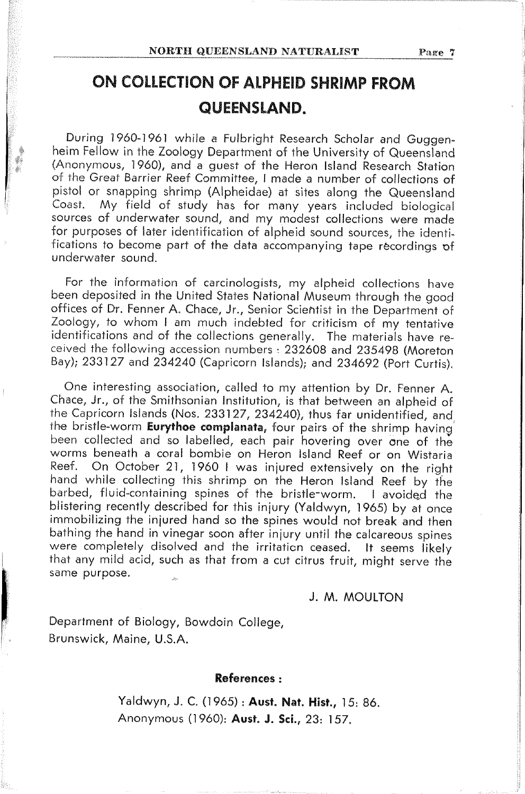# ON COLLECTION OF ALPHEID SHRIMP FROM QUEENSLAND.

During 1960-1961 while a Fulbright Research Scholar and Guggenheim Fellow in the Zoology Department of the University of Queensland (Anonymous, 1960), and a guest of the Heron Island Research Station of the Great Barrier Reef Committee, I made a number of collections of pistol or snapping shrimp (Alpheidae) at sites along the Queensland My field of study has for many years included biological Coast. sources of underwater sound, and my modest collections were made for purposes of later identification of alpheid sound sources, the identifications to become part of the data accompanying tape recordings of underwater sound.

For the information of carcinologists, my alpheid collections have been deposited in the United States National Museum through the good offices of Dr. Fenner A. Chace, Jr., Senior Scientist in the Department of Zoology, to whom I am much indebted for criticism of my tentative identifications and of the collections generally. The materials have received the following accession numbers : 232608 and 235498 (Moreton Bay); 233127 and 234240 (Capricorn Islands); and 234692 (Port Curtis).

One interesting association, called to my attention by Dr. Fenner A. Chace, Jr., of the Smithsonian Institution, is that between an alpheid of the Capricorn Islands (Nos. 233127, 234240), thus far unidentified, and the bristle-worm Eurythoe complanata, four pairs of the shrimp having been collected and so labelled, each pair hovering over one of the worms beneath a coral bombie on Heron Island Reef or on Wistaria Reef. On October 21, 1960 I was injured extensively on the right hand while collecting this shrimp on the Heron Island Reef by the barbed, fluid-containing spines of the bristle-worm. I avoided the blistering recently described for this injury (Yaldwyn, 1965) by at once immobilizing the injured hand so the spines would not break and then bathing the hand in vinegar soon after injury until the calcareous spines were completely disolved and the irritation ceased. It seems likely that any mild acid, such as that from a cut citrus fruit, might serve the same purpose.

#### J. M. MOULTON

Department of Biology, Bowdoin College, Brunswick, Maine, U.S.A.

#### References:

Yaldwyn, J. C. (1965): Aust. Nat. Hist., 15: 86. Anonymous (1960): Aust. J. Sci., 23: 157.